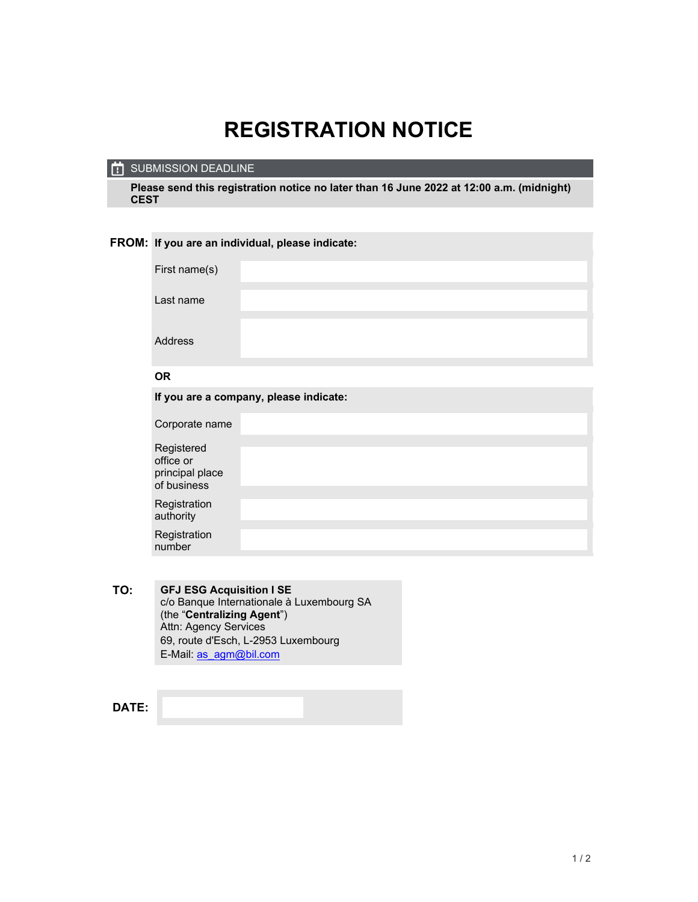## **REGISTRATION NOTICE**

## SUBMISSION DEADLINE

**Please send this registration notice no later than 16 June 2022 at 12:00 a.m. (midnight) CEST** 

## **FROM: If you are an individual, please indicate:**

| First name(s)                                             |  |  |
|-----------------------------------------------------------|--|--|
| Last name                                                 |  |  |
| Address                                                   |  |  |
| <b>OR</b>                                                 |  |  |
| If you are a company, please indicate:                    |  |  |
| Corporate name                                            |  |  |
| Registered<br>office or<br>principal place<br>of business |  |  |
| Registration<br>authority                                 |  |  |
| Registration<br>number                                    |  |  |

**TO: GFJ ESG Acquisition I SE**  c/o Banque Internationale à Luxembourg SA (the "**Centralizing Agent**") Attn: Agency Services 69, route d'Esch, L-2953 Luxembourg E-Mail: as\_agm@bil.com

**DATE:**